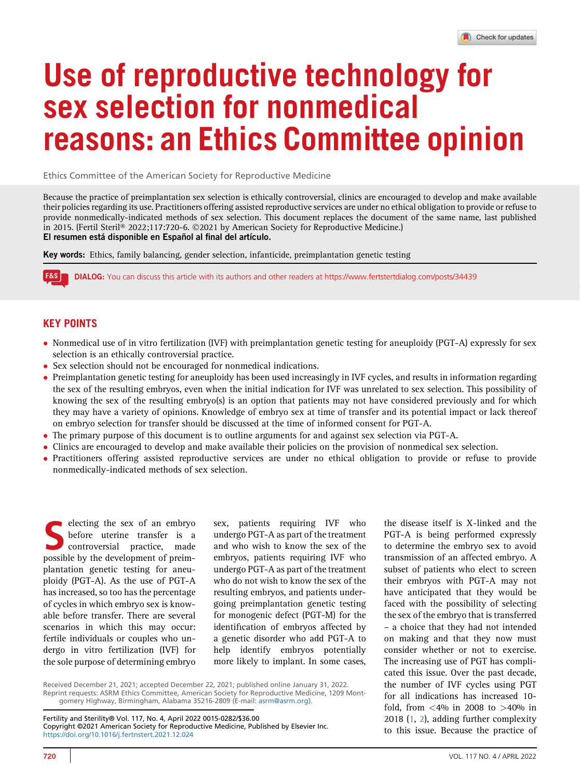# Use of reproductive technology for sex selection for nonmedical reasons: an Ethics Committee opinion

Ethics Committee of the American Society for Reproductive Medicine

Because the practice of preimplantation sex selection is ethically controversial, clinics are encouraged to develop and make available their policies regarding its use. Practitioners offering assisted reproductive services are under no ethical obligation to provide or refuse to provide nonmedically-indicated methods of sex selection. This document replaces the document of the same name, last published in 2015. (Fertil Steril® 2022;117:720-6. ©2021 by American Society for Reproductive Medicine.) El resumen está disponible en Español al final del artículo.

Key words: Ethics, family balancing, gender selection, infanticide, preimplantation genetic testing

**F&S** DIALOG: You can discuss this article with its authors and other readers at <https://www.fertstertdialog.com/posts/34439>

# KEY POINTS

- Nonmedical use of in vitro fertilization (IVF) with preimplantation genetic testing for aneuploidy (PGT-A) expressly for sex selection is an ethically controversial practice.
- Sex selection should not be encouraged for nonmedical indications.
- Preimplantation genetic testing for aneuploidy has been used increasingly in IVF cycles, and results in information regarding the sex of the resulting embryos, even when the initial indication for IVF was unrelated to sex selection. This possibility of knowing the sex of the resulting embryo(s) is an option that patients may not have considered previously and for which they may have a variety of opinions. Knowledge of embryo sex at time of transfer and its potential impact or lack thereof on embryo selection for transfer should be discussed at the time of informed consent for PGT-A.
- The primary purpose of this document is to outline arguments for and against sex selection via PGT-A.
- Clinics are encouraged to develop and make available their policies on the provision of nonmedical sex selection.<br>• Practitioners offering assisted reproductive services are under no ethical obligation to provide or refu
- Practitioners offering assisted reproductive services are under no ethical obligation to provide or refuse to provide nonmedically-indicated methods of sex selection.

Selecting the sex of an embryoutering transfer is a controversial practice, made<br>notice that the development of preimbefore uterine transfer is a controversial practice, made possible by the development of preimplantation genetic testing for aneuploidy (PGT-A). As the use of PGT-A has increased, so too has the percentage of cycles in which embryo sex is knowable before transfer. There are several scenarios in which this may occur: fertile individuals or couples who undergo in vitro fertilization (IVF) for the sole purpose of determining embryo sex, patients requiring IVF who undergo PGT-A as part of the treatment and who wish to know the sex of the embryos, patients requiring IVF who undergo PGT-A as part of the treatment who do not wish to know the sex of the resulting embryos, and patients undergoing preimplantation genetic testing for monogenic defect (PGT-M) for the identification of embryos affected by a genetic disorder who add PGT-A to help identify embryos potentially more likely to implant. In some cases,

Received December 21, 2021; accepted December 22, 2021; published online January 31, 2022. Reprint requests: ASRM Ethics Committee, American Society for Reproductive Medicine, 1209 Montgomery Highway, Birmingham, Alabama 35216-2809 (E-mail: [asrm@asrm.org](mailto:asrm@asrm.org)).

Fertility and Sterility® Vol. 117, No. 4, April 2022 0015-0282/\$36.00 Copyright ©2021 American Society for Reproductive Medicine, Published by Elsevier Inc. <https://doi.org/10.1016/j.fertnstert.2021.12.024>

the disease itself is X-linked and the PGT-A is being performed expressly to determine the embryo sex to avoid transmission of an affected embryo. A subset of patients who elect to screen their embryos with PGT-A may not have anticipated that they would be faced with the possibility of selecting the sex of the embryo that is transferred – a choice that they had not intended on making and that they now must consider whether or not to exercise. The increasing use of PGT has complicated this issue. Over the past decade, the number of IVF cycles using PGT for all indications has increased 10 fold, from  $\langle 4\% 1 \rangle$  in 2008 to  $>40\%$  in 2018 ([1](#page-4-0), [2\)](#page-4-1), adding further complexity to this issue. Because the practice of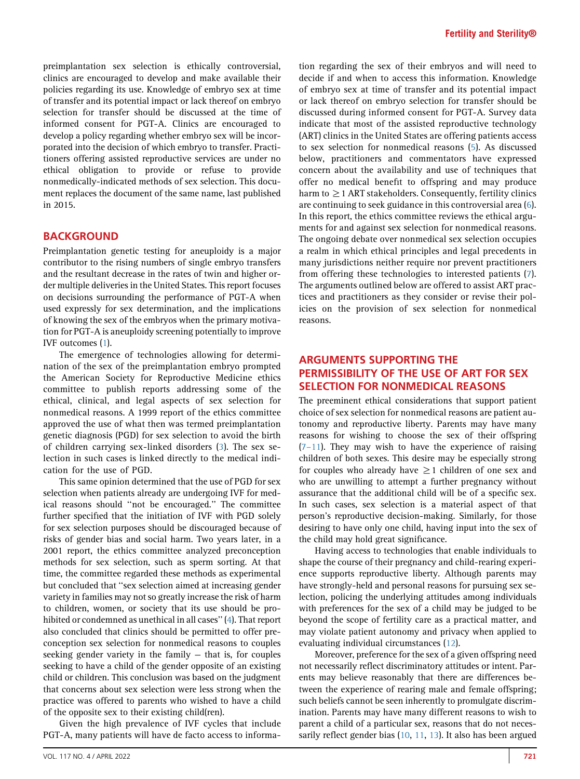preimplantation sex selection is ethically controversial, clinics are encouraged to develop and make available their policies regarding its use. Knowledge of embryo sex at time of transfer and its potential impact or lack thereof on embryo selection for transfer should be discussed at the time of informed consent for PGT-A. Clinics are encouraged to develop a policy regarding whether embryo sex will be incorporated into the decision of which embryo to transfer. Practitioners offering assisted reproductive services are under no ethical obligation to provide or refuse to provide nonmedically-indicated methods of sex selection. This document replaces the document of the same name, last published in 2015.

#### BACKGROUND

Preimplantation genetic testing for aneuploidy is a major contributor to the rising numbers of single embryo transfers and the resultant decrease in the rates of twin and higher order multiple deliveries in the United States. This report focuses on decisions surrounding the performance of PGT-A when used expressly for sex determination, and the implications of knowing the sex of the embryos when the primary motivation for PGT-A is aneuploidy screening potentially to improve IVF outcomes ([1\)](#page-4-0).

The emergence of technologies allowing for determination of the sex of the preimplantation embryo prompted the American Society for Reproductive Medicine ethics committee to publish reports addressing some of the ethical, clinical, and legal aspects of sex selection for nonmedical reasons. A 1999 report of the ethics committee approved the use of what then was termed preimplantation genetic diagnosis (PGD) for sex selection to avoid the birth of children carrying sex-linked disorders [\(3](#page-4-2)). The sex selection in such cases is linked directly to the medical indication for the use of PGD.

This same opinion determined that the use of PGD for sex selection when patients already are undergoing IVF for medical reasons should ''not be encouraged.'' The committee further specified that the initiation of IVF with PGD solely for sex selection purposes should be discouraged because of risks of gender bias and social harm. Two years later, in a 2001 report, the ethics committee analyzed preconception methods for sex selection, such as sperm sorting. At that time, the committee regarded these methods as experimental but concluded that ''sex selection aimed at increasing gender variety in families may not so greatly increase the risk of harm to children, women, or society that its use should be prohibited or condemned as unethical in all cases'' [\(4](#page-4-3)). That report also concluded that clinics should be permitted to offer preconception sex selection for nonmedical reasons to couples seeking gender variety in the family — that is, for couples seeking to have a child of the gender opposite of an existing child or children. This conclusion was based on the judgment that concerns about sex selection were less strong when the practice was offered to parents who wished to have a child of the opposite sex to their existing child(ren).

Given the high prevalence of IVF cycles that include PGT-A, many patients will have de facto access to informa-

VOL. 117 NO. 4 / APRIL 2022 **721** 

tion regarding the sex of their embryos and will need to decide if and when to access this information. Knowledge of embryo sex at time of transfer and its potential impact or lack thereof on embryo selection for transfer should be discussed during informed consent for PGT-A. Survey data indicate that most of the assisted reproductive technology (ART) clinics in the United States are offering patients access to sex selection for nonmedical reasons ([5\)](#page-4-4). As discussed below, practitioners and commentators have expressed concern about the availability and use of techniques that offer no medical benefit to offspring and may produce harm to  $\geq$  1 ART stakeholders. Consequently, fertility clinics are continuing to seek guidance in this controversial area [\(6](#page-4-5)). In this report, the ethics committee reviews the ethical arguments for and against sex selection for nonmedical reasons. The ongoing debate over nonmedical sex selection occupies a realm in which ethical principles and legal precedents in many jurisdictions neither require nor prevent practitioners from offering these technologies to interested patients [\(7](#page-4-6)). The arguments outlined below are offered to assist ART practices and practitioners as they consider or revise their policies on the provision of sex selection for nonmedical reasons.

## ARGUMENTS SUPPORTING THE PERMISSIBILITY OF THE USE OF ART FOR SEX SELECTION FOR NONMEDICAL REASONS

The preeminent ethical considerations that support patient choice of sex selection for nonmedical reasons are patient autonomy and reproductive liberty. Parents may have many reasons for wishing to choose the sex of their offspring  $(7-11)$  $(7-11)$ . They may wish to have the experience of raising children of both sexes. This desire may be especially strong for couples who already have  $\geq$ 1 children of one sex and who are unwilling to attempt a further pregnancy without assurance that the additional child will be of a specific sex. In such cases, sex selection is a material aspect of that person's reproductive decision-making. Similarly, for those desiring to have only one child, having input into the sex of the child may hold great significance.

Having access to technologies that enable individuals to shape the course of their pregnancy and child-rearing experience supports reproductive liberty. Although parents may have strongly-held and personal reasons for pursuing sex selection, policing the underlying attitudes among individuals with preferences for the sex of a child may be judged to be beyond the scope of fertility care as a practical matter, and may violate patient autonomy and privacy when applied to evaluating individual circumstances [\(12\)](#page-4-7).

Moreover, preference for the sex of a given offspring need not necessarily reflect discriminatory attitudes or intent. Parents may believe reasonably that there are differences between the experience of rearing male and female offspring; such beliefs cannot be seen inherently to promulgate discrimination. Parents may have many different reasons to wish to parent a child of a particular sex, reasons that do not necessarily reflect gender bias [\(10](#page-4-8), [11,](#page-4-9) [13](#page-4-10)). It also has been argued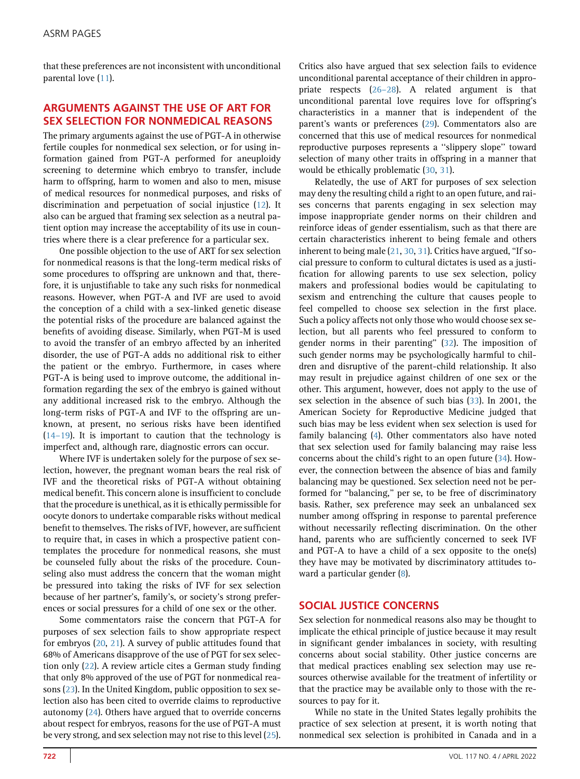that these preferences are not inconsistent with unconditional parental love [\(11\)](#page-4-9).

## ARGUMENTS AGAINST THE USE OF ART FOR SEX SELECTION FOR NONMEDICAL REASONS

The primary arguments against the use of PGT-A in otherwise fertile couples for nonmedical sex selection, or for using information gained from PGT-A performed for aneuploidy screening to determine which embryo to transfer, include harm to offspring, harm to women and also to men, misuse of medical resources for nonmedical purposes, and risks of discrimination and perpetuation of social injustice ([12](#page-4-7)). It also can be argued that framing sex selection as a neutral patient option may increase the acceptability of its use in countries where there is a clear preference for a particular sex.

One possible objection to the use of ART for sex selection for nonmedical reasons is that the long-term medical risks of some procedures to offspring are unknown and that, therefore, it is unjustifiable to take any such risks for nonmedical reasons. However, when PGT-A and IVF are used to avoid the conception of a child with a sex-linked genetic disease the potential risks of the procedure are balanced against the benefits of avoiding disease. Similarly, when PGT-M is used to avoid the transfer of an embryo affected by an inherited disorder, the use of PGT-A adds no additional risk to either the patient or the embryo. Furthermore, in cases where PGT-A is being used to improve outcome, the additional information regarding the sex of the embryo is gained without any additional increased risk to the embryo. Although the long-term risks of PGT-A and IVF to the offspring are unknown, at present, no serious risks have been identified [\(14](#page-4-11)–19). It is important to caution that the technology is imperfect and, although rare, diagnostic errors can occur.

Where IVF is undertaken solely for the purpose of sex selection, however, the pregnant woman bears the real risk of IVF and the theoretical risks of PGT-A without obtaining medical benefit. This concern alone is insufficient to conclude that the procedure is unethical, as it is ethically permissible for oocyte donors to undertake comparable risks without medical benefit to themselves. The risks of IVF, however, are sufficient to require that, in cases in which a prospective patient contemplates the procedure for nonmedical reasons, she must be counseled fully about the risks of the procedure. Counseling also must address the concern that the woman might be pressured into taking the risks of IVF for sex selection because of her partner's, family's, or society's strong preferences or social pressures for a child of one sex or the other.

Some commentators raise the concern that PGT-A for purposes of sex selection fails to show appropriate respect for embryos [\(20,](#page-4-12) [21](#page-4-13)). A survey of public attitudes found that 68% of Americans disapprove of the use of PGT for sex selection only ([22\)](#page-4-14). A review article cites a German study finding that only 8% approved of the use of PGT for nonmedical reasons ([23\)](#page-4-15). In the United Kingdom, public opposition to sex selection also has been cited to override claims to reproductive autonomy ([24](#page-4-16)). Others have argued that to override concerns about respect for embryos, reasons for the use of PGT-A must be very strong, and sex selection may not rise to this level ([25](#page-4-17)).

Critics also have argued that sex selection fails to evidence unconditional parental acceptance of their children in appropriate respects (26–[28\)](#page-4-18). A related argument is that unconditional parental love requires love for offspring's characteristics in a manner that is independent of the parent's wants or preferences [\(29\)](#page-4-19). Commentators also are concerned that this use of medical resources for nonmedical reproductive purposes represents a ''slippery slope'' toward selection of many other traits in offspring in a manner that would be ethically problematic ([30](#page-4-20), [31\)](#page-4-21).

Relatedly, the use of ART for purposes of sex selection may deny the resulting child a right to an open future, and raises concerns that parents engaging in sex selection may impose inappropriate gender norms on their children and reinforce ideas of gender essentialism, such as that there are certain characteristics inherent to being female and others inherent to being male ([21](#page-4-13), [30](#page-4-20), [31\)](#page-4-21). Critics have argued, "If social pressure to conform to cultural dictates is used as a justification for allowing parents to use sex selection, policy makers and professional bodies would be capitulating to sexism and entrenching the culture that causes people to feel compelled to choose sex selection in the first place. Such a policy affects not only those who would choose sex selection, but all parents who feel pressured to conform to gender norms in their parenting'' [\(32\)](#page-4-22). The imposition of such gender norms may be psychologically harmful to children and disruptive of the parent-child relationship. It also may result in prejudice against children of one sex or the other. This argument, however, does not apply to the use of sex selection in the absence of such bias [\(33](#page-4-23)). In 2001, the American Society for Reproductive Medicine judged that such bias may be less evident when sex selection is used for family balancing ([4\)](#page-4-3). Other commentators also have noted that sex selection used for family balancing may raise less concerns about the child's right to an open future [\(34](#page-4-24)). However, the connection between the absence of bias and family balancing may be questioned. Sex selection need not be performed for ''balancing,'' per se, to be free of discriminatory basis. Rather, sex preference may seek an unbalanced sex number among offspring in response to parental preference without necessarily reflecting discrimination. On the other hand, parents who are sufficiently concerned to seek IVF and PGT-A to have a child of a sex opposite to the one(s) they have may be motivated by discriminatory attitudes toward a particular gender [\(8\)](#page-4-25).

#### SOCIAL JUSTICE CONCERNS

Sex selection for nonmedical reasons also may be thought to implicate the ethical principle of justice because it may result in significant gender imbalances in society, with resulting concerns about social stability. Other justice concerns are that medical practices enabling sex selection may use resources otherwise available for the treatment of infertility or that the practice may be available only to those with the resources to pay for it.

While no state in the United States legally prohibits the practice of sex selection at present, it is worth noting that nonmedical sex selection is prohibited in Canada and in a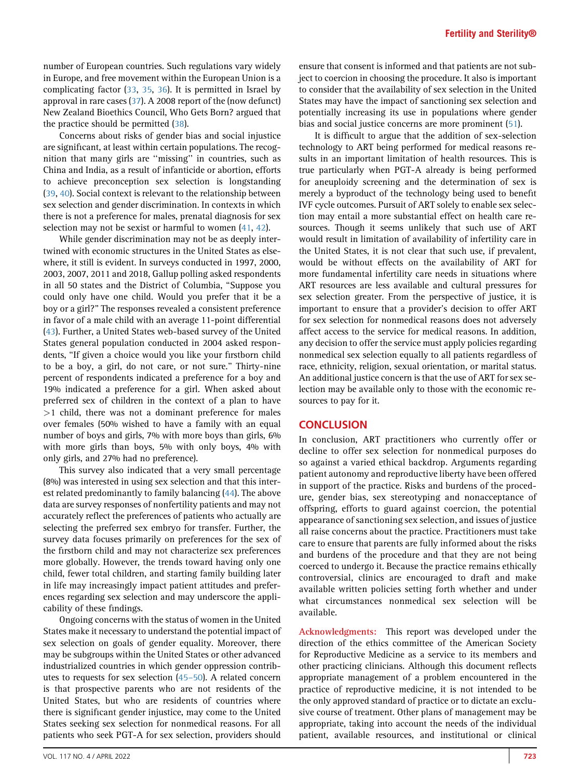number of European countries. Such regulations vary widely in Europe, and free movement within the European Union is a complicating factor ([33](#page-4-23), [35,](#page-4-26) [36](#page-4-27)). It is permitted in Israel by approval in rare cases ([37](#page-4-28)). A 2008 report of the (now defunct) New Zealand Bioethics Council, Who Gets Born? argued that the practice should be permitted [\(38](#page-4-29)).

Concerns about risks of gender bias and social injustice are significant, at least within certain populations. The recognition that many girls are ''missing'' in countries, such as China and India, as a result of infanticide or abortion, efforts to achieve preconception sex selection is longstanding [\(39](#page-5-0), [40](#page-5-1)). Social context is relevant to the relationship between sex selection and gender discrimination. In contexts in which there is not a preference for males, prenatal diagnosis for sex selection may not be sexist or harmful to women ([41,](#page-5-2) [42](#page-5-3)).

While gender discrimination may not be as deeply intertwined with economic structures in the United States as elsewhere, it still is evident. In surveys conducted in 1997, 2000, 2003, 2007, 2011 and 2018, Gallup polling asked respondents in all 50 states and the District of Columbia, ''Suppose you could only have one child. Would you prefer that it be a boy or a girl?'' The responses revealed a consistent preference in favor of a male child with an average 11-point differential [\(43](#page-5-4)). Further, a United States web-based survey of the United States general population conducted in 2004 asked respondents, ''If given a choice would you like your firstborn child to be a boy, a girl, do not care, or not sure.'' Thirty-nine percent of respondents indicated a preference for a boy and 19% indicated a preference for a girl. When asked about preferred sex of children in the context of a plan to have >1 child, there was not a dominant preference for males over females (50% wished to have a family with an equal number of boys and girls, 7% with more boys than girls, 6% with more girls than boys, 5% with only boys, 4% with only girls, and 27% had no preference).

This survey also indicated that a very small percentage (8%) was interested in using sex selection and that this interest related predominantly to family balancing [\(44](#page-5-5)). The above data are survey responses of nonfertility patients and may not accurately reflect the preferences of patients who actually are selecting the preferred sex embryo for transfer. Further, the survey data focuses primarily on preferences for the sex of the firstborn child and may not characterize sex preferences more globally. However, the trends toward having only one child, fewer total children, and starting family building later in life may increasingly impact patient attitudes and preferences regarding sex selection and may underscore the applicability of these findings.

Ongoing concerns with the status of women in the United States make it necessary to understand the potential impact of sex selection on goals of gender equality. Moreover, there may be subgroups within the United States or other advanced industrialized countries in which gender oppression contributes to requests for sex selection [\(45](#page-5-6)–50). A related concern is that prospective parents who are not residents of the United States, but who are residents of countries where there is significant gender injustice, may come to the United States seeking sex selection for nonmedical reasons. For all patients who seek PGT-A for sex selection, providers should

ensure that consent is informed and that patients are not subject to coercion in choosing the procedure. It also is important to consider that the availability of sex selection in the United States may have the impact of sanctioning sex selection and potentially increasing its use in populations where gender bias and social justice concerns are more prominent ([51\)](#page-5-7).

It is difficult to argue that the addition of sex-selection technology to ART being performed for medical reasons results in an important limitation of health resources. This is true particularly when PGT-A already is being performed for aneuploidy screening and the determination of sex is merely a byproduct of the technology being used to benefit IVF cycle outcomes. Pursuit of ART solely to enable sex selection may entail a more substantial effect on health care resources. Though it seems unlikely that such use of ART would result in limitation of availability of infertility care in the United States, it is not clear that such use, if prevalent, would be without effects on the availability of ART for more fundamental infertility care needs in situations where ART resources are less available and cultural pressures for sex selection greater. From the perspective of justice, it is important to ensure that a provider's decision to offer ART for sex selection for nonmedical reasons does not adversely affect access to the service for medical reasons. In addition, any decision to offer the service must apply policies regarding nonmedical sex selection equally to all patients regardless of race, ethnicity, religion, sexual orientation, or marital status. An additional justice concern is that the use of ART for sex selection may be available only to those with the economic resources to pay for it.

#### **CONCLUSION**

In conclusion, ART practitioners who currently offer or decline to offer sex selection for nonmedical purposes do so against a varied ethical backdrop. Arguments regarding patient autonomy and reproductive liberty have been offered in support of the practice. Risks and burdens of the procedure, gender bias, sex stereotyping and nonacceptance of offspring, efforts to guard against coercion, the potential appearance of sanctioning sex selection, and issues of justice all raise concerns about the practice. Practitioners must take care to ensure that parents are fully informed about the risks and burdens of the procedure and that they are not being coerced to undergo it. Because the practice remains ethically controversial, clinics are encouraged to draft and make available written policies setting forth whether and under what circumstances nonmedical sex selection will be available.

Acknowledgments: This report was developed under the direction of the ethics committee of the American Society for Reproductive Medicine as a service to its members and other practicing clinicians. Although this document reflects appropriate management of a problem encountered in the practice of reproductive medicine, it is not intended to be the only approved standard of practice or to dictate an exclusive course of treatment. Other plans of management may be appropriate, taking into account the needs of the individual patient, available resources, and institutional or clinical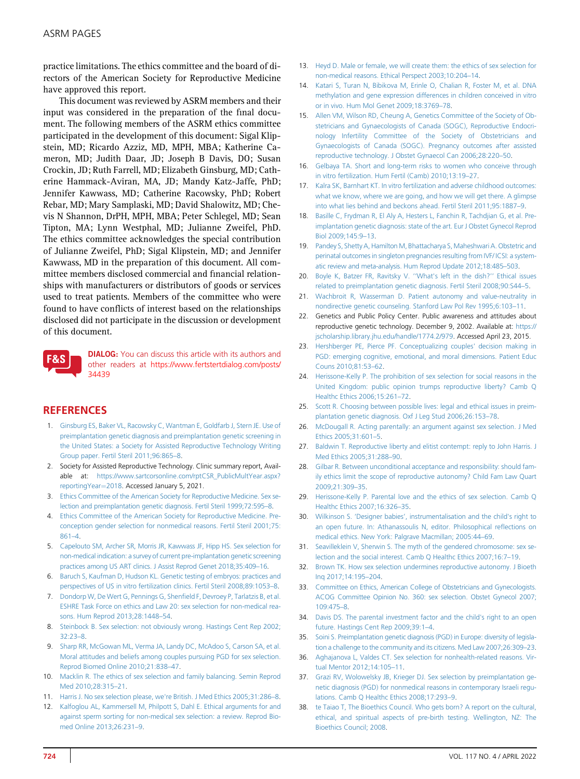practice limitations. The ethics committee and the board of directors of the American Society for Reproductive Medicine have approved this report.

This document was reviewed by ASRM members and their input was considered in the preparation of the final document. The following members of the ASRM ethics committee participated in the development of this document: Sigal Klipstein, MD; Ricardo Azziz, MD, MPH, MBA; Katherine Cameron, MD; Judith Daar, JD; Joseph B Davis, DO; Susan Crockin, JD; Ruth Farrell, MD; Elizabeth Ginsburg, MD; Catherine Hammack-Aviran, MA, JD; Mandy Katz-Jaffe, PhD; Jennifer Kawwass, MD; Catherine Racowsky, PhD; Robert Rebar, MD; Mary Samplaski, MD; David Shalowitz, MD; Chevis N Shannon, DrPH, MPH, MBA; Peter Schlegel, MD; Sean Tipton, MA; Lynn Westphal, MD; Julianne Zweifel, PhD. The ethics committee acknowledges the special contribution of Julianne Zweifel, PhD; Sigal Klipstein, MD; and Jennifer Kawwass, MD in the preparation of this document. All committee members disclosed commercial and financial relationships with manufacturers or distributors of goods or services used to treat patients. Members of the committee who were found to have conflicts of interest based on the relationships disclosed did not participate in the discussion or development of this document.



DIALOG: You can discuss this article with its authors and other readers at [https://www.fertstertdialog.com/posts/](https://www.fertstertdialog.com/posts/34439) [34439](https://www.fertstertdialog.com/posts/34439)

### <span id="page-4-0"></span>**REFERENCES**

- <span id="page-4-1"></span>1. [Ginsburg ES, Baker VL, Racowsky C, Wantman E, Goldfarb J, Stern JE. Use of](http://refhub.elsevier.com/S0015-0282(21)02317-7/sref1) [preimplantation genetic diagnosis and preimplantation genetic screening in](http://refhub.elsevier.com/S0015-0282(21)02317-7/sref1) [the United States: a Society for Assisted Reproductive Technology Writing](http://refhub.elsevier.com/S0015-0282(21)02317-7/sref1) [Group paper. Fertil Steril 2011;96:865](http://refhub.elsevier.com/S0015-0282(21)02317-7/sref1)–8.
- <span id="page-4-2"></span>2. Society for Assisted Reproductive Technology. Clinic summary report, Available at: [https://www.sartcorsonline.com/rptCSR\\_PublicMultYear.aspx?](https://www.sartcorsonline.com/rptCSR_PublicMultYear.aspx?reportingYear=2018) [reportingYear](https://www.sartcorsonline.com/rptCSR_PublicMultYear.aspx?reportingYear=2018)=[2018](https://www.sartcorsonline.com/rptCSR_PublicMultYear.aspx?reportingYear=2018). Accessed January 5, 2021.
- <span id="page-4-3"></span>3. [Ethics Committee of the American Society for Reproductive Medicine. Sex se](http://refhub.elsevier.com/S0015-0282(21)02317-7/sref3)[lection and preimplantation genetic diagnosis. Fertil Steril 1999;72:595](http://refhub.elsevier.com/S0015-0282(21)02317-7/sref3)–8.
- <span id="page-4-4"></span>4. [Ethics Committee of the American Society for Reproductive Medicine. Pre](http://refhub.elsevier.com/S0015-0282(21)02317-7/sref4)[conception gender selection for nonmedical reasons. Fertil Steril 2001;75:](http://refhub.elsevier.com/S0015-0282(21)02317-7/sref4) [861](http://refhub.elsevier.com/S0015-0282(21)02317-7/sref4)–4.
- <span id="page-4-5"></span>5. [Capelouto SM, Archer SR, Morris JR, Kawwass JF, Hipp HS. Sex selection for](http://refhub.elsevier.com/S0015-0282(21)02317-7/sref5) [non-medical indication: a survey of current pre-implantation genetic screening](http://refhub.elsevier.com/S0015-0282(21)02317-7/sref5) [practices among US ART clinics. J Assist Reprod Genet 2018;35:409](http://refhub.elsevier.com/S0015-0282(21)02317-7/sref5)–16.
- <span id="page-4-6"></span>6. [Baruch S, Kaufman D, Hudson KL. Genetic testing of embryos: practices and](http://refhub.elsevier.com/S0015-0282(21)02317-7/sref6) [perspectives of US in vitro fertilization clinics. Fertil Steril 2008;89:1053](http://refhub.elsevier.com/S0015-0282(21)02317-7/sref6)–8.
- <span id="page-4-25"></span>7. [Dondorp W, De Wert G, Pennings G, Shen](http://refhub.elsevier.com/S0015-0282(21)02317-7/sref7)field F, Devroey P, Tarlatzis B, et al. [ESHRE Task Force on ethics and Law 20: sex selection for non-medical rea](http://refhub.elsevier.com/S0015-0282(21)02317-7/sref7)[sons. Hum Reprod 2013;28:1448](http://refhub.elsevier.com/S0015-0282(21)02317-7/sref7)–54.
- 8. [Steinbock B. Sex selection: not obviously wrong. Hastings Cent Rep 2002;](http://refhub.elsevier.com/S0015-0282(21)02317-7/sref8) [32:23](http://refhub.elsevier.com/S0015-0282(21)02317-7/sref8)–8.
- <span id="page-4-8"></span>9. [Sharp RR, McGowan ML, Verma JA, Landy DC, McAdoo S, Carson SA, et al.](http://refhub.elsevier.com/S0015-0282(21)02317-7/sref9) [Moral attitudes and beliefs among couples pursuing PGD for sex selection.](http://refhub.elsevier.com/S0015-0282(21)02317-7/sref9) [Reprod Biomed Online 2010;21:838](http://refhub.elsevier.com/S0015-0282(21)02317-7/sref9)–47.
- <span id="page-4-9"></span>10. [Macklin R. The ethics of sex selection and family balancing. Semin Reprod](http://refhub.elsevier.com/S0015-0282(21)02317-7/sref10) [Med 2010;28:315](http://refhub.elsevier.com/S0015-0282(21)02317-7/sref10)–21.
- <span id="page-4-7"></span>11. [Harris J. No sex selection please, we're British. J Med Ethics 2005;31:286](http://refhub.elsevier.com/S0015-0282(21)02317-7/sref11)–8.
- 12. [Kalfoglou AL, Kammersell M, Philpott S, Dahl E. Ethical arguments for and](http://refhub.elsevier.com/S0015-0282(21)02317-7/sref12) [against sperm sorting for non-medical sex selection: a review. Reprod Bio](http://refhub.elsevier.com/S0015-0282(21)02317-7/sref12)[med Online 2013;26:231](http://refhub.elsevier.com/S0015-0282(21)02317-7/sref12)–9.
- <span id="page-4-10"></span>13. [Heyd D. Male or female, we will create them: the ethics of sex selection for](http://refhub.elsevier.com/S0015-0282(21)02317-7/sref13) [non-medical reasons. Ethical Perspect 2003;10:204](http://refhub.elsevier.com/S0015-0282(21)02317-7/sref13)–14.
- <span id="page-4-11"></span>14. [Katari S, Turan N, Bibikova M, Erinle O, Chalian R, Foster M, et al. DNA](http://refhub.elsevier.com/S0015-0282(21)02317-7/sref14) [methylation and gene expression differences in children conceived in vitro](http://refhub.elsevier.com/S0015-0282(21)02317-7/sref14) [or in vivo. Hum Mol Genet 2009;18:3769](http://refhub.elsevier.com/S0015-0282(21)02317-7/sref14)–78.
- 15. [Allen VM, Wilson RD, Cheung A, Genetics Committee of the Society of Ob](http://refhub.elsevier.com/S0015-0282(21)02317-7/sref15)[stetricians and Gynaecologists of Canada \(SOGC\), Reproductive Endocri](http://refhub.elsevier.com/S0015-0282(21)02317-7/sref15)[nology Infertility Committee of the Society of Obstetricians and](http://refhub.elsevier.com/S0015-0282(21)02317-7/sref15) [Gynaecologists of Canada \(SOGC\). Pregnancy outcomes after assisted](http://refhub.elsevier.com/S0015-0282(21)02317-7/sref15) [reproductive technology. J Obstet Gynaecol Can 2006;28:220](http://refhub.elsevier.com/S0015-0282(21)02317-7/sref15)–50.
- 16. [Gelbaya TA. Short and long-term risks to women who conceive through](http://refhub.elsevier.com/S0015-0282(21)02317-7/sref16) [in vitro fertilization. Hum Fertil \(Camb\) 2010;13:19](http://refhub.elsevier.com/S0015-0282(21)02317-7/sref16)–27.
- 17. [Kalra SK, Barnhart KT. In vitro fertilization and adverse childhood outcomes:](http://refhub.elsevier.com/S0015-0282(21)02317-7/sref17) [what we know, where we are going, and how we will get there. A glimpse](http://refhub.elsevier.com/S0015-0282(21)02317-7/sref17) [into what lies behind and beckons ahead. Fertil Steril 2011;95:1887](http://refhub.elsevier.com/S0015-0282(21)02317-7/sref17)–9.
- 18. [Basille C, Frydman R, El Aly A, Hesters L, Fanchin R, Tachdjian G, et al. Pre](http://refhub.elsevier.com/S0015-0282(21)02317-7/sref18)[implantation genetic diagnosis: state of the art. Eur J Obstet Gynecol Reprod](http://refhub.elsevier.com/S0015-0282(21)02317-7/sref18) [Biol 2009;145:9](http://refhub.elsevier.com/S0015-0282(21)02317-7/sref18)–13.
- 19. [Pandey S, Shetty A, Hamilton M, Bhattacharya S, Maheshwari A. Obstetric and](http://refhub.elsevier.com/S0015-0282(21)02317-7/sref19) [perinatal outcomes in singleton pregnancies resulting from IVF/ ICSI: a system](http://refhub.elsevier.com/S0015-0282(21)02317-7/sref19)[atic review and meta-analysis. Hum Reprod Update 2012;18:485](http://refhub.elsevier.com/S0015-0282(21)02317-7/sref19)–503.
- <span id="page-4-12"></span>20. [Boyle K, Batzer FR, Ravitsky V.](http://refhub.elsevier.com/S0015-0282(21)02317-7/sref20) ''What's left in the dish?'' Ethical issues [related to preimplantation genetic diagnosis. Fertil Steril 2008;90:S44](http://refhub.elsevier.com/S0015-0282(21)02317-7/sref20)–5.
- <span id="page-4-13"></span>21. [Wachbroit R, Wasserman D. Patient autonomy and value-neutrality in](http://refhub.elsevier.com/S0015-0282(21)02317-7/sref21) [nondirective genetic counseling. Stanford Law Pol Rev 1995;6:103](http://refhub.elsevier.com/S0015-0282(21)02317-7/sref21)–11.
- <span id="page-4-14"></span>22. Genetics and Public Policy Center. Public awareness and attitudes about reproductive genetic technology. December 9, 2002. Available at: [https://](https://jscholarship.library.jhu.edu/handle/1774.2/979) [jscholarship.library.jhu.edu/handle/1774.2/979](https://jscholarship.library.jhu.edu/handle/1774.2/979). Accessed April 23, 2015.
- <span id="page-4-15"></span>23. [Hershberger PE, Pierce PF. Conceptualizing couples' decision making in](http://refhub.elsevier.com/S0015-0282(21)02317-7/sref23) [PGD: emerging cognitive, emotional, and moral dimensions. Patient Educ](http://refhub.elsevier.com/S0015-0282(21)02317-7/sref23) [Couns 2010;81:53](http://refhub.elsevier.com/S0015-0282(21)02317-7/sref23)–62.
- <span id="page-4-16"></span>24. [Herissone-Kelly P. The prohibition of sex selection for social reasons in the](http://refhub.elsevier.com/S0015-0282(21)02317-7/sref24) [United Kingdom: public opinion trumps reproductive liberty? Camb Q](http://refhub.elsevier.com/S0015-0282(21)02317-7/sref24) [Healthc Ethics 2006;15:261](http://refhub.elsevier.com/S0015-0282(21)02317-7/sref24)–72.
- <span id="page-4-17"></span>25. [Scott R. Choosing between possible lives: legal and ethical issues in preim](http://refhub.elsevier.com/S0015-0282(21)02317-7/sref25)[plantation genetic diagnosis. Oxf J Leg Stud 2006;26:153](http://refhub.elsevier.com/S0015-0282(21)02317-7/sref25)–78.
- <span id="page-4-18"></span>26. [McDougall R. Acting parentally: an argument against sex selection. J Med](http://refhub.elsevier.com/S0015-0282(21)02317-7/sref26) [Ethics 2005;31:601](http://refhub.elsevier.com/S0015-0282(21)02317-7/sref26)–5.
- 27. [Baldwin T. Reproductive liberty and elitist contempt: reply to John Harris. J](http://refhub.elsevier.com/S0015-0282(21)02317-7/sref27) [Med Ethics 2005;31:288](http://refhub.elsevier.com/S0015-0282(21)02317-7/sref27)–90.
- 28. [Gilbar R. Between unconditional acceptance and responsibility: should fam](http://refhub.elsevier.com/S0015-0282(21)02317-7/sref28)[ily ethics limit the scope of reproductive autonomy? Child Fam Law Quart](http://refhub.elsevier.com/S0015-0282(21)02317-7/sref28) [2009;21:309](http://refhub.elsevier.com/S0015-0282(21)02317-7/sref28)–35.
- <span id="page-4-19"></span>29. [Herissone-Kelly P. Parental love and the ethics of sex selection. Camb Q](http://refhub.elsevier.com/S0015-0282(21)02317-7/sref29) [Healthc Ethics 2007;16:326](http://refhub.elsevier.com/S0015-0282(21)02317-7/sref29)–35.
- <span id="page-4-20"></span>30. Wilkinson S. 'Designer babies'[, instrumentalisation and the child's right to](http://refhub.elsevier.com/S0015-0282(21)02317-7/sref30) [an open future. In: Athanassoulis N, editor. Philosophical re](http://refhub.elsevier.com/S0015-0282(21)02317-7/sref30)flections on [medical ethics. New York: Palgrave Macmillan; 2005:44](http://refhub.elsevier.com/S0015-0282(21)02317-7/sref30)–69.
- <span id="page-4-21"></span>31. [Seavilleklein V, Sherwin S. The myth of the gendered chromosome: sex se](http://refhub.elsevier.com/S0015-0282(21)02317-7/sref31)[lection and the social interest. Camb Q Healthc Ethics 2007;16:7](http://refhub.elsevier.com/S0015-0282(21)02317-7/sref31)–19.
- <span id="page-4-22"></span>32. [Brown TK. How sex selection undermines reproductive autonomy. J Bioeth](http://refhub.elsevier.com/S0015-0282(21)02317-7/sref32) [Inq 2017;14:195](http://refhub.elsevier.com/S0015-0282(21)02317-7/sref32)–204.
- <span id="page-4-23"></span>33. [Committee on Ethics, American College of Obstetricians and Gynecologists.](http://refhub.elsevier.com/S0015-0282(21)02317-7/sref33) [ACOG Committee Opinion No. 360: sex selection. Obstet Gynecol 2007;](http://refhub.elsevier.com/S0015-0282(21)02317-7/sref33) [109:475](http://refhub.elsevier.com/S0015-0282(21)02317-7/sref33)–8.
- <span id="page-4-24"></span>34. [Davis DS. The parental investment factor and the child's right to an open](http://refhub.elsevier.com/S0015-0282(21)02317-7/sref34) [future. Hastings Cent Rep 2009;39:1](http://refhub.elsevier.com/S0015-0282(21)02317-7/sref34)–4.
- <span id="page-4-26"></span>35. [Soini S. Preimplantation genetic diagnosis \(PGD\) in Europe: diversity of legisla](http://refhub.elsevier.com/S0015-0282(21)02317-7/sref35)[tion a challenge to the community and its citizens. Med Law 2007;26:309](http://refhub.elsevier.com/S0015-0282(21)02317-7/sref35)–23.
- <span id="page-4-27"></span>36. [Aghajanova L, Valdes CT. Sex selection for nonhealth-related reasons. Vir](http://refhub.elsevier.com/S0015-0282(21)02317-7/sref36)[tual Mentor 2012;14:105](http://refhub.elsevier.com/S0015-0282(21)02317-7/sref36)–11.
- <span id="page-4-28"></span>37. [Grazi RV, Wolowelsky JB, Krieger DJ. Sex selection by preimplantation ge](http://refhub.elsevier.com/S0015-0282(21)02317-7/sref37)[netic diagnosis \(PGD\) for nonmedical reasons in contemporary Israeli regu](http://refhub.elsevier.com/S0015-0282(21)02317-7/sref37)[lations. Camb Q Healthc Ethics 2008;17:293](http://refhub.elsevier.com/S0015-0282(21)02317-7/sref37)–9.
- <span id="page-4-29"></span>38. [te Taiao T, The Bioethics Council. Who gets born? A report on the cultural,](http://refhub.elsevier.com/S0015-0282(21)02317-7/sref38) [ethical, and spiritual aspects of pre-birth testing. Wellington, NZ: The](http://refhub.elsevier.com/S0015-0282(21)02317-7/sref38) [Bioethics Council; 2008](http://refhub.elsevier.com/S0015-0282(21)02317-7/sref38).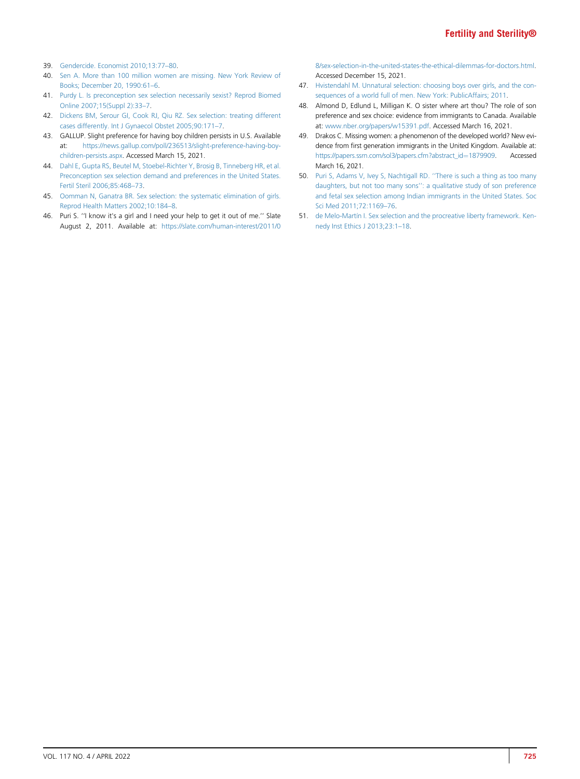- <span id="page-5-0"></span>39. [Gendercide. Economist 2010;13:77](http://refhub.elsevier.com/S0015-0282(21)02317-7/sref39)–80.
- <span id="page-5-1"></span>40. [Sen A. More than 100 million women are missing. New York Review of](http://refhub.elsevier.com/S0015-0282(21)02317-7/sref40) [Books; December 20, 1990:61](http://refhub.elsevier.com/S0015-0282(21)02317-7/sref40)–6.
- <span id="page-5-2"></span>41. [Purdy L. Is preconception sex selection necessarily sexist? Reprod Biomed](http://refhub.elsevier.com/S0015-0282(21)02317-7/sref41) [Online 2007;15\(Suppl 2\):33](http://refhub.elsevier.com/S0015-0282(21)02317-7/sref41)–7.
- <span id="page-5-3"></span>42. [Dickens BM, Serour GI, Cook RJ, Qiu RZ. Sex selection: treating different](http://refhub.elsevier.com/S0015-0282(21)02317-7/sref42) [cases differently. Int J Gynaecol Obstet 2005;90:171](http://refhub.elsevier.com/S0015-0282(21)02317-7/sref42)–7.
- <span id="page-5-4"></span>43. GALLUP. Slight preference for having boy children persists in U.S. Available at: [https://news.gallup.com/poll/236513/slight-preference-having-boy](https://news.gallup.com/poll/236513/slight-preference-having-boy-children-persists.aspx)[children-persists.aspx.](https://news.gallup.com/poll/236513/slight-preference-having-boy-children-persists.aspx) Accessed March 15, 2021.
- <span id="page-5-5"></span>44. [Dahl E, Gupta RS, Beutel M, Stoebel-Richter Y, Brosig B, Tinneberg HR, et al.](http://refhub.elsevier.com/S0015-0282(21)02317-7/sref44) [Preconception sex selection demand and preferences in the United States.](http://refhub.elsevier.com/S0015-0282(21)02317-7/sref44) [Fertil Steril 2006;85:468](http://refhub.elsevier.com/S0015-0282(21)02317-7/sref44)–73.
- <span id="page-5-6"></span>45. [Oomman N, Ganatra BR. Sex selection: the systematic elimination of girls.](http://refhub.elsevier.com/S0015-0282(21)02317-7/sref45) [Reprod Health Matters 2002;10:184](http://refhub.elsevier.com/S0015-0282(21)02317-7/sref45)–8.
- 46. Puri S. ''I know it's a girl and I need your help to get it out of me.'' Slate August 2, 2011. Available at: [https://slate.com/human-interest/2011/0](https://slate.com/human-interest/2011/08/sex-selection-in-the-united-states-the-ethical-dilemmas-for-doctors.html)

[8/sex-selection-in-the-united-states-the-ethical-dilemmas-for-doctors.html.](https://slate.com/human-interest/2011/08/sex-selection-in-the-united-states-the-ethical-dilemmas-for-doctors.html) Accessed December 15, 2021.

- 47. [Hvistendahl M. Unnatural selection: choosing boys over girls, and the con](http://refhub.elsevier.com/S0015-0282(21)02317-7/sref47)[sequences of a world full of men. New York: PublicAffairs; 2011](http://refhub.elsevier.com/S0015-0282(21)02317-7/sref47).
- 48. Almond D, Edlund L, Milligan K. O sister where art thou? The role of son preference and sex choice: evidence from immigrants to Canada. Available at: [www.nber.org/papers/w15391.pdf](http://www.nber.org/papers/w15391.pdf). Accessed March 16, 2021.
- 49. Drakos C. Missing women: a phenomenon of the developed world? New evidence from first generation immigrants in the United Kingdom. Available at: [https://papers.ssrn.com/sol3/papers.cfm?abstract\\_id](https://papers.ssrn.com/sol3/papers.cfm?abstract_id=1879909)=[1879909.](https://papers.ssrn.com/sol3/papers.cfm?abstract_id=1879909) Accessed March 16, 2021.
- 50. [Puri S, Adams V, Ivey S, Nachtigall RD.](http://refhub.elsevier.com/S0015-0282(21)02317-7/sref50) ''There is such a thing as too many daughters, but not too many sons''[: a qualitative study of son preference](http://refhub.elsevier.com/S0015-0282(21)02317-7/sref50) [and fetal sex selection among Indian immigrants in the United States. Soc](http://refhub.elsevier.com/S0015-0282(21)02317-7/sref50) [Sci Med 2011;72:1169](http://refhub.elsevier.com/S0015-0282(21)02317-7/sref50)–76.
- <span id="page-5-7"></span>51. [de Melo-Mart](http://refhub.elsevier.com/S0015-0282(21)02317-7/sref51)í[n I. Sex selection and the procreative liberty framework. Ken](http://refhub.elsevier.com/S0015-0282(21)02317-7/sref51)[nedy Inst Ethics J 2013;23:1](http://refhub.elsevier.com/S0015-0282(21)02317-7/sref51)–18.